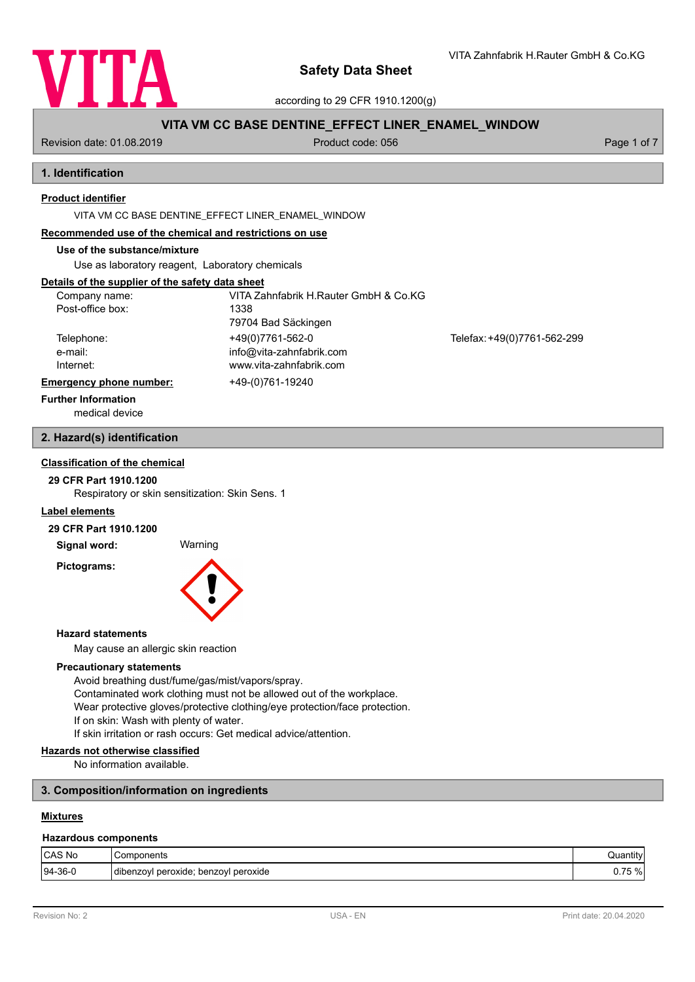

according to 29 CFR 1910.1200(g)

# **VITA VM CC BASE DENTINE\_EFFECT LINER\_ENAMEL\_WINDOW**

Revision date: 01.08.2019 **Product code: 056** Product code: 056 Page 1 of 7

# **1. Identification**

### **Product identifier**

VITA VM CC BASE DENTINE\_EFFECT LINER\_ENAMEL\_WINDOW

#### **Recommended use of the chemical and restrictions on use**

### **Use of the substance/mixture**

Use as laboratory reagent, Laboratory chemicals

### **Details of the supplier of the safety data sheet**

| Company name:<br>Post-office box: | VITA Zahnfabrik H.Rauter GmbH & Co.KG<br>1338 |                             |
|-----------------------------------|-----------------------------------------------|-----------------------------|
|                                   | 79704 Bad Säckingen                           |                             |
| Telephone:                        | +49(0)7761-562-0                              | Telefax: +49(0)7761-562-299 |
| e-mail:                           | info@vita-zahnfabrik.com                      |                             |
| Internet:                         | www.vita-zahnfabrik.com                       |                             |
| <b>Emergency phone number:</b>    | +49-(0)761-19240                              |                             |
| <b>Further Information</b>        |                                               |                             |

medical device

# **2. Hazard(s) identification**

### **Classification of the chemical**

### **29 CFR Part 1910.1200**

Respiratory or skin sensitization: Skin Sens. 1

#### **Label elements**

#### **29 CFR Part 1910.1200**

**Signal word:** Warning

**Pictograms:**



#### **Hazard statements**

May cause an allergic skin reaction

### **Precautionary statements**

Avoid breathing dust/fume/gas/mist/vapors/spray. Contaminated work clothing must not be allowed out of the workplace. Wear protective gloves/protective clothing/eye protection/face protection. If on skin: Wash with plenty of water. If skin irritation or rash occurs: Get medical advice/attention.

#### **Hazards not otherwise classified**

No information available.

#### **3. Composition/information on ingredients**

### **Mixtures**

#### **Hazardous components**

| CAS No    | Components                                 | $\cdot \cdot \cdot$<br>Juantity' |
|-----------|--------------------------------------------|----------------------------------|
| $94-36-0$ | ; benzoyl peroxide<br> dibenzoyl peroxide; | $7 - 0$<br>U. /5<br>$\gamma_{0}$ |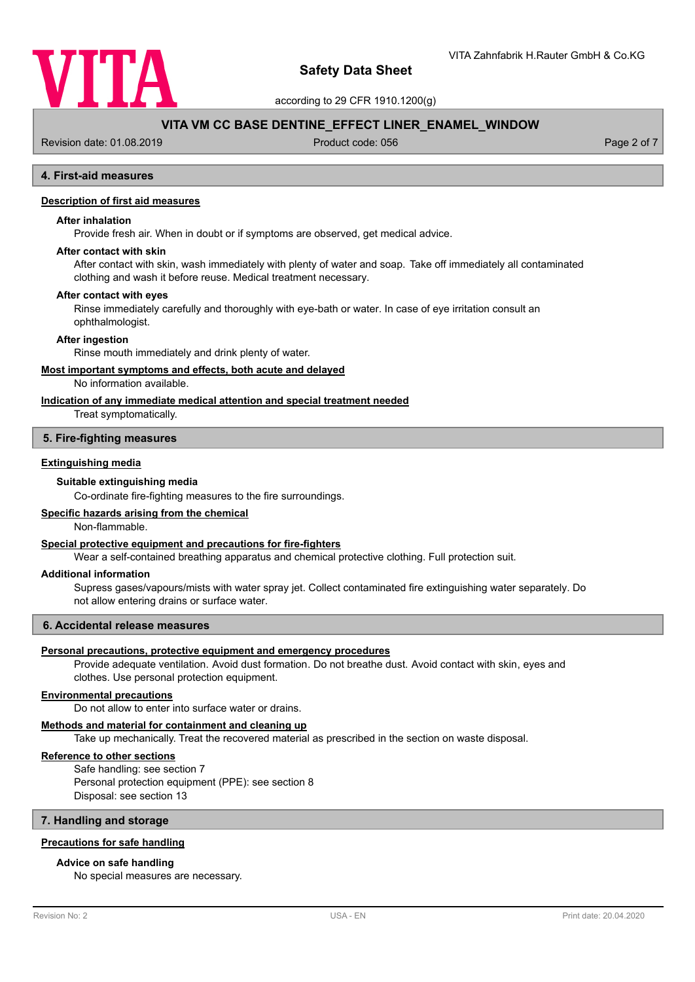

according to 29 CFR 1910.1200(g)

### **VITA VM CC BASE DENTINE\_EFFECT LINER\_ENAMEL\_WINDOW**

Revision date: 01.08.2019 **Product code: 056** Product code: 056 Page 2 of 7

### **4. First-aid measures**

#### **Description of first aid measures**

### **After inhalation**

Provide fresh air. When in doubt or if symptoms are observed, get medical advice.

#### **After contact with skin**

After contact with skin, wash immediately with plenty of water and soap. Take off immediately all contaminated clothing and wash it before reuse. Medical treatment necessary.

#### **After contact with eyes**

Rinse immediately carefully and thoroughly with eye-bath or water. In case of eye irritation consult an ophthalmologist.

#### **After ingestion**

Rinse mouth immediately and drink plenty of water.

#### **Most important symptoms and effects, both acute and delayed**

No information available.

#### **Indication of any immediate medical attention and special treatment needed**

Treat symptomatically.

#### **5. Fire-fighting measures**

#### **Extinguishing media**

#### **Suitable extinguishing media**

Co-ordinate fire-fighting measures to the fire surroundings.

### **Specific hazards arising from the chemical**

Non-flammable.

### **Special protective equipment and precautions for fire-fighters**

Wear a self-contained breathing apparatus and chemical protective clothing. Full protection suit.

#### **Additional information**

Supress gases/vapours/mists with water spray jet. Collect contaminated fire extinguishing water separately. Do not allow entering drains or surface water.

#### **6. Accidental release measures**

#### **Personal precautions, protective equipment and emergency procedures**

Provide adequate ventilation. Avoid dust formation. Do not breathe dust. Avoid contact with skin, eyes and clothes. Use personal protection equipment.

#### **Environmental precautions**

Do not allow to enter into surface water or drains.

#### **Methods and material for containment and cleaning up**

Take up mechanically. Treat the recovered material as prescribed in the section on waste disposal.

#### **Reference to other sections**

Safe handling: see section 7 Personal protection equipment (PPE): see section 8 Disposal: see section 13

**7. Handling and storage**

### **Precautions for safe handling**

#### **Advice on safe handling**

No special measures are necessary.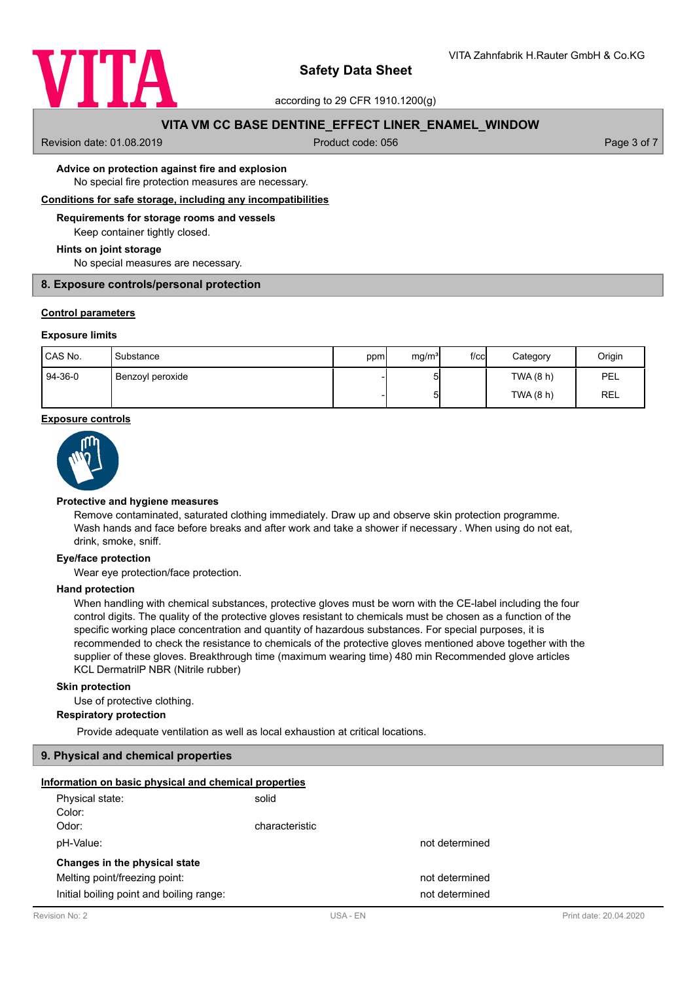

according to 29 CFR 1910.1200(g)

## **VITA VM CC BASE DENTINE\_EFFECT LINER\_ENAMEL\_WINDOW**

Revision date: 01.08.2019 **Product code: 056** Product code: 056 Page 3 of 7

No special fire protection measures are necessary. **Advice on protection against fire and explosion**

**Conditions for safe storage, including any incompatibilities**

#### **Requirements for storage rooms and vessels**

Keep container tightly closed.

#### **Hints on joint storage**

No special measures are necessary.

#### **8. Exposure controls/personal protection**

### **Control parameters**

### **Exposure limits**

| CAS No.   | Substance        | ppm | mg/m <sup>3</sup> | $f$ / $c$ c | Category  | Origin |
|-----------|------------------|-----|-------------------|-------------|-----------|--------|
| $94-36-0$ | Benzoyl peroxide |     | ы                 |             | TWA (8 h) | PEL    |
|           |                  |     | ы                 |             | TWA (8 h) | REL    |

### **Exposure controls**



#### **Protective and hygiene measures**

Remove contaminated, saturated clothing immediately. Draw up and observe skin protection programme. Wash hands and face before breaks and after work and take a shower if necessary . When using do not eat, drink, smoke, sniff.

#### **Eye/face protection**

Wear eye protection/face protection.

#### **Hand protection**

When handling with chemical substances, protective gloves must be worn with the CE-label including the four control digits. The quality of the protective gloves resistant to chemicals must be chosen as a function of the specific working place concentration and quantity of hazardous substances. For special purposes, it is recommended to check the resistance to chemicals of the protective gloves mentioned above together with the supplier of these gloves. Breakthrough time (maximum wearing time) 480 min Recommended glove articles KCL DermatrilP NBR (Nitrile rubber)

### **Skin protection**

Use of protective clothing.

### **Respiratory protection**

Provide adequate ventilation as well as local exhaustion at critical locations.

#### **9. Physical and chemical properties**

| Information on basic physical and chemical properties |                |                |  |
|-------------------------------------------------------|----------------|----------------|--|
| Physical state:                                       | solid          |                |  |
| Color:                                                |                |                |  |
| Odor:                                                 | characteristic |                |  |
| pH-Value:                                             |                | not determined |  |
| Changes in the physical state                         |                |                |  |
| Melting point/freezing point:                         |                | not determined |  |
| Initial boiling point and boiling range:              |                | not determined |  |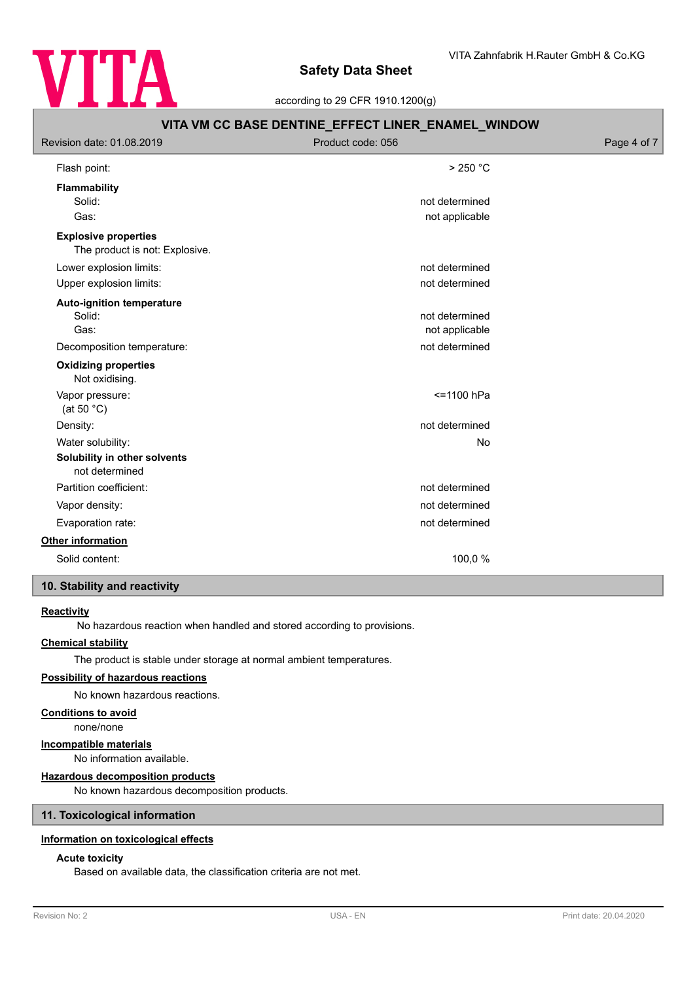

according to 29 CFR 1910.1200(g)

| VITA VM CC BASE DENTINE_EFFECT LINER_ENAMEL_WINDOW            |                   |             |  |  |
|---------------------------------------------------------------|-------------------|-------------|--|--|
| Revision date: 01.08.2019                                     | Product code: 056 | Page 4 of 7 |  |  |
| Flash point:                                                  | $>250$ °C         |             |  |  |
| Flammability                                                  |                   |             |  |  |
| Solid:                                                        | not determined    |             |  |  |
| Gas:                                                          | not applicable    |             |  |  |
| <b>Explosive properties</b><br>The product is not: Explosive. |                   |             |  |  |
| Lower explosion limits:                                       | not determined    |             |  |  |
| Upper explosion limits:                                       | not determined    |             |  |  |
| <b>Auto-ignition temperature</b>                              |                   |             |  |  |
| Solid:                                                        | not determined    |             |  |  |
| Gas:                                                          | not applicable    |             |  |  |
| Decomposition temperature:                                    | not determined    |             |  |  |
| <b>Oxidizing properties</b><br>Not oxidising.                 |                   |             |  |  |
| Vapor pressure:<br>(at 50 $°C$ )                              | $= 1100$ hPa      |             |  |  |
| Density:                                                      | not determined    |             |  |  |
| Water solubility:                                             | No                |             |  |  |
| Solubility in other solvents<br>not determined                |                   |             |  |  |
| Partition coefficient:                                        | not determined    |             |  |  |
| Vapor density:                                                | not determined    |             |  |  |
| Evaporation rate:                                             | not determined    |             |  |  |
| Other information                                             |                   |             |  |  |
| Solid content:                                                | 100,0%            |             |  |  |
| 10. Stability and reactivity                                  |                   |             |  |  |

# **Reactivity**

No hazardous reaction when handled and stored according to provisions.

### **Chemical stability**

The product is stable under storage at normal ambient temperatures.

#### **Possibility of hazardous reactions**

No known hazardous reactions.

#### **Conditions to avoid**

none/none

### **Incompatible materials**

No information available.

### **Hazardous decomposition products**

No known hazardous decomposition products.

### **11. Toxicological information**

### **Information on toxicological effects**

### **Acute toxicity**

Based on available data, the classification criteria are not met.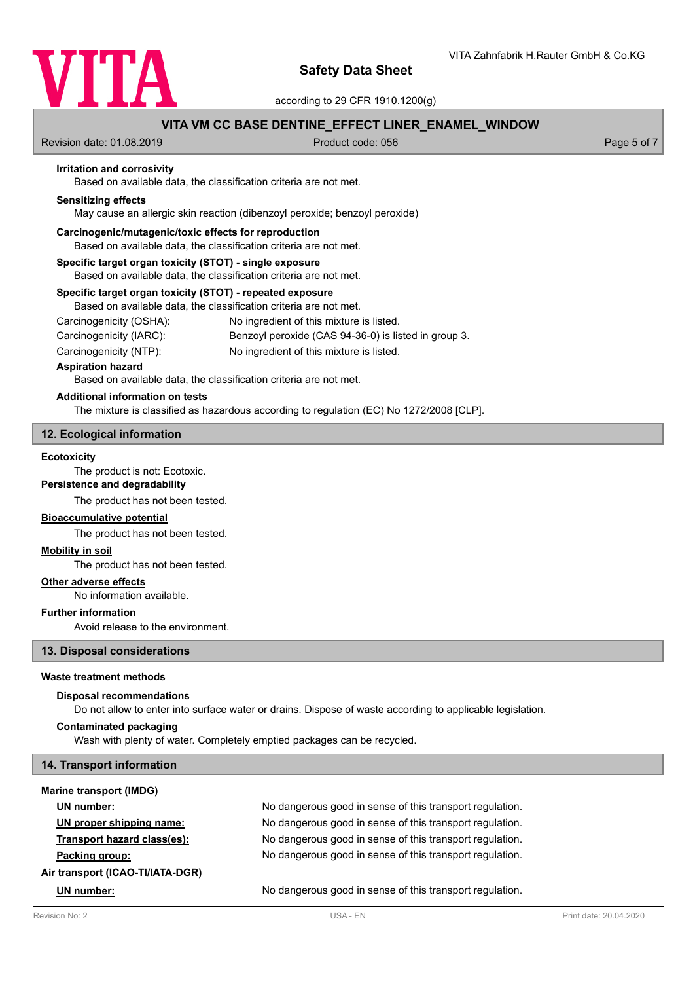

according to 29 CFR 1910.1200(g)

### **VITA VM CC BASE DENTINE\_EFFECT LINER\_ENAMEL\_WINDOW**

Revision date: 01.08.2019 **Product code: 056** Product code: 056 Page 5 of 7

### **Irritation and corrosivity**

Based on available data, the classification criteria are not met.

#### **Sensitizing effects**

May cause an allergic skin reaction (dibenzoyl peroxide; benzoyl peroxide)

#### **Carcinogenic/mutagenic/toxic effects for reproduction**

Based on available data, the classification criteria are not met.

#### **Specific target organ toxicity (STOT) - single exposure**

Based on available data, the classification criteria are not met.

#### **Specific target organ toxicity (STOT) - repeated exposure**

Based on available data, the classification criteria are not met.

Carcinogenicity (OSHA): No ingredient of this mixture is listed.

Carcinogenicity (IARC): Benzoyl peroxide (CAS 94-36-0) is listed in group 3.

Carcinogenicity (NTP): No ingredient of this mixture is listed.

#### **Aspiration hazard**

Based on available data, the classification criteria are not met.

#### **Additional information on tests**

The mixture is classified as hazardous according to regulation (EC) No 1272/2008 [CLP].

#### **12. Ecological information**

#### **Ecotoxicity**

The product is not: Ecotoxic.

**Persistence and degradability**

The product has not been tested.

### **Bioaccumulative potential**

The product has not been tested.

#### **Mobility in soil**

The product has not been tested.

### **Other adverse effects**

No information available.

# **Further information**

Avoid release to the environment.

### **13. Disposal considerations**

#### **Waste treatment methods**

#### **Disposal recommendations**

Do not allow to enter into surface water or drains. Dispose of waste according to applicable legislation.

#### **Contaminated packaging**

Wash with plenty of water. Completely emptied packages can be recycled.

### **14. Transport information**

#### **Marine transport (IMDG)**

| UN number:                       | No dangerous good in sense of this transport regulation. |
|----------------------------------|----------------------------------------------------------|
| UN proper shipping name:         | No dangerous good in sense of this transport regulation. |
| Transport hazard class(es):      | No dangerous good in sense of this transport regulation. |
| Packing group:                   | No dangerous good in sense of this transport regulation. |
| Air transport (ICAO-TI/IATA-DGR) |                                                          |
| UN number:                       | No dangerous good in sense of this transport regulation. |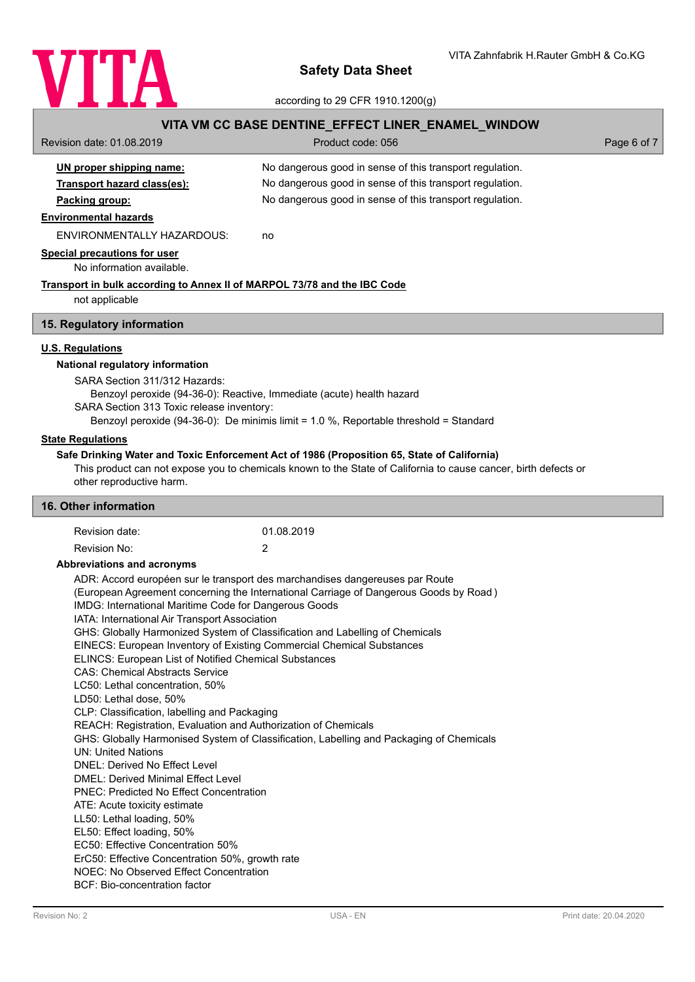

|                                                                                | according to 29 CFR 1910.1200(g)                                                                                |             |  |
|--------------------------------------------------------------------------------|-----------------------------------------------------------------------------------------------------------------|-------------|--|
| VITA VM CC BASE DENTINE_EFFECT LINER_ENAMEL_WINDOW                             |                                                                                                                 |             |  |
| Revision date: 01.08.2019                                                      | Product code: 056                                                                                               | Page 6 of 7 |  |
| UN proper shipping name:                                                       | No dangerous good in sense of this transport regulation.                                                        |             |  |
| Transport hazard class(es):                                                    | No dangerous good in sense of this transport regulation.                                                        |             |  |
| Packing group:                                                                 | No dangerous good in sense of this transport regulation.                                                        |             |  |
| <b>Environmental hazards</b>                                                   |                                                                                                                 |             |  |
| <b>ENVIRONMENTALLY HAZARDOUS:</b>                                              | no                                                                                                              |             |  |
|                                                                                |                                                                                                                 |             |  |
| <b>Special precautions for user</b><br>No information available.               |                                                                                                                 |             |  |
| Transport in bulk according to Annex II of MARPOL 73/78 and the IBC Code       |                                                                                                                 |             |  |
| not applicable                                                                 |                                                                                                                 |             |  |
|                                                                                |                                                                                                                 |             |  |
| 15. Regulatory information                                                     |                                                                                                                 |             |  |
| <b>U.S. Regulations</b>                                                        |                                                                                                                 |             |  |
| National regulatory information                                                |                                                                                                                 |             |  |
| SARA Section 311/312 Hazards:                                                  |                                                                                                                 |             |  |
| Benzoyl peroxide (94-36-0): Reactive, Immediate (acute) health hazard          |                                                                                                                 |             |  |
| SARA Section 313 Toxic release inventory:                                      |                                                                                                                 |             |  |
|                                                                                | Benzoyl peroxide (94-36-0): De minimis limit = 1.0 %, Reportable threshold = Standard                           |             |  |
| <b>State Regulations</b>                                                       |                                                                                                                 |             |  |
|                                                                                | Safe Drinking Water and Toxic Enforcement Act of 1986 (Proposition 65, State of California)                     |             |  |
| other reproductive harm.                                                       | This product can not expose you to chemicals known to the State of California to cause cancer, birth defects or |             |  |
|                                                                                |                                                                                                                 |             |  |
| 16. Other information                                                          |                                                                                                                 |             |  |
| Revision date:                                                                 | 01.08.2019                                                                                                      |             |  |
| Revision No:                                                                   | 2                                                                                                               |             |  |
| Abbreviations and acronyms                                                     |                                                                                                                 |             |  |
|                                                                                | ADR: Accord européen sur le transport des marchandises dangereuses par Route                                    |             |  |
| IMDG: International Maritime Code for Dangerous Goods                          | (European Agreement concerning the International Carriage of Dangerous Goods by Road)                           |             |  |
| IATA: International Air Transport Association                                  |                                                                                                                 |             |  |
|                                                                                | GHS: Globally Harmonized System of Classification and Labelling of Chemicals                                    |             |  |
| EINECS: European Inventory of Existing Commercial Chemical Substances          |                                                                                                                 |             |  |
| ELINCS: European List of Notified Chemical Substances                          |                                                                                                                 |             |  |
| <b>CAS: Chemical Abstracts Service</b>                                         |                                                                                                                 |             |  |
| LC50: Lethal concentration, 50%<br>LD50: Lethal dose, 50%                      |                                                                                                                 |             |  |
| CLP: Classification, labelling and Packaging                                   |                                                                                                                 |             |  |
| REACH: Registration, Evaluation and Authorization of Chemicals                 |                                                                                                                 |             |  |
|                                                                                | GHS: Globally Harmonised System of Classification, Labelling and Packaging of Chemicals                         |             |  |
| <b>UN: United Nations</b>                                                      |                                                                                                                 |             |  |
| <b>DNEL: Derived No Effect Level</b>                                           |                                                                                                                 |             |  |
| <b>DMEL: Derived Minimal Effect Level</b>                                      |                                                                                                                 |             |  |
| <b>PNEC: Predicted No Effect Concentration</b><br>ATE: Acute toxicity estimate |                                                                                                                 |             |  |
| LL50: Lethal loading, 50%                                                      |                                                                                                                 |             |  |
| EL50: Effect loading, 50%                                                      |                                                                                                                 |             |  |
| EC50: Effective Concentration 50%                                              |                                                                                                                 |             |  |
| ErC50: Effective Concentration 50%, growth rate                                |                                                                                                                 |             |  |

NOEC: No Observed Effect Concentration

BCF: Bio-concentration factor